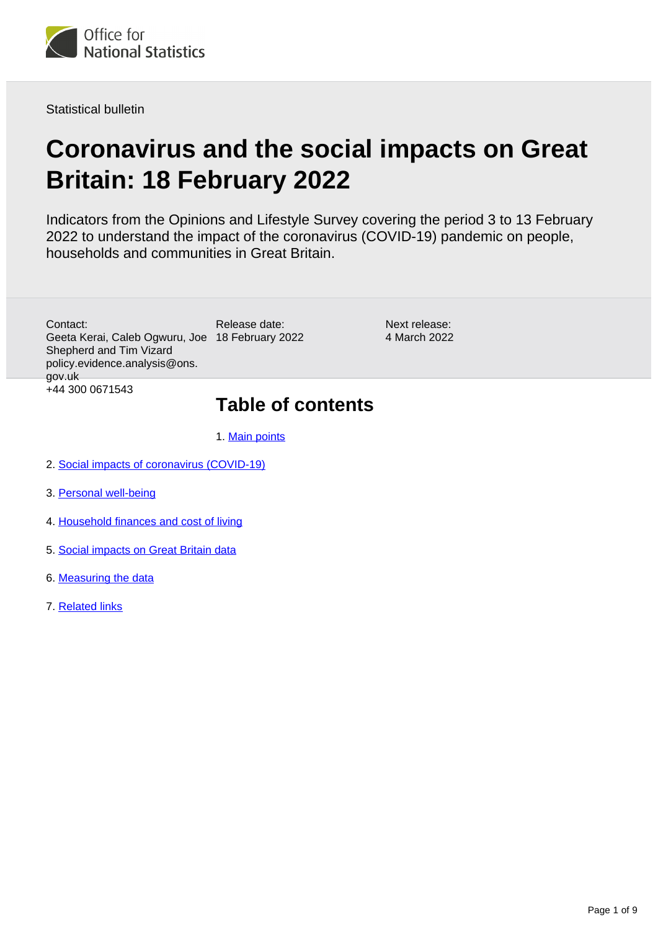

Statistical bulletin

# **Coronavirus and the social impacts on Great Britain: 18 February 2022**

Indicators from the Opinions and Lifestyle Survey covering the period 3 to 13 February 2022 to understand the impact of the coronavirus (COVID-19) pandemic on people, households and communities in Great Britain.

Geeta Kerai, Caleb Ogwuru, Joe 18 February 2022 Contact: Shepherd and Tim Vizard policy.evidence.analysis@ons. gov.uk +44 300 0671543

Release date:

Next release: 4 March 2022

## **Table of contents**

1. [Main points](#page-1-0)

- 2. [Social impacts of coronavirus \(COVID-19\)](#page-1-1)
- 3. [Personal well-being](#page-4-0)
- 4. [Household finances and cost of living](#page-5-0)
- 5. [Social impacts on Great Britain data](#page-7-0)
- 6. [Measuring the data](#page-7-1)
- 7. [Related links](#page-8-0)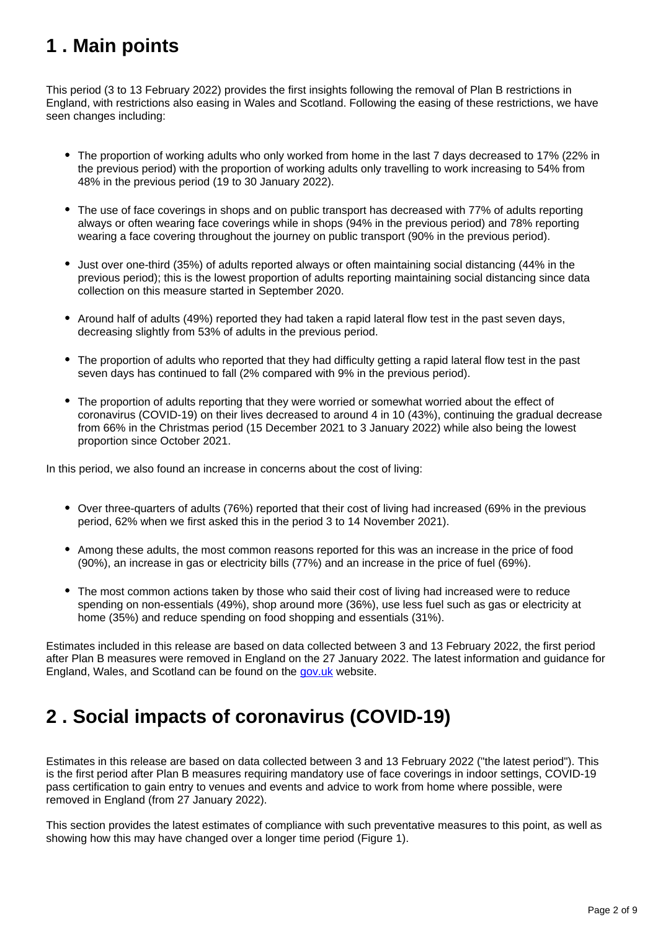## <span id="page-1-0"></span>**1 . Main points**

This period (3 to 13 February 2022) provides the first insights following the removal of Plan B restrictions in England, with restrictions also easing in Wales and Scotland. Following the easing of these restrictions, we have seen changes including:

- The proportion of working adults who only worked from home in the last 7 days decreased to 17% (22% in the previous period) with the proportion of working adults only travelling to work increasing to 54% from 48% in the previous period (19 to 30 January 2022).
- The use of face coverings in shops and on public transport has decreased with 77% of adults reporting always or often wearing face coverings while in shops (94% in the previous period) and 78% reporting wearing a face covering throughout the journey on public transport (90% in the previous period).
- Just over one-third (35%) of adults reported always or often maintaining social distancing (44% in the previous period); this is the lowest proportion of adults reporting maintaining social distancing since data collection on this measure started in September 2020.
- Around half of adults (49%) reported they had taken a rapid lateral flow test in the past seven days, decreasing slightly from 53% of adults in the previous period.
- The proportion of adults who reported that they had difficulty getting a rapid lateral flow test in the past seven days has continued to fall (2% compared with 9% in the previous period).
- The proportion of adults reporting that they were worried or somewhat worried about the effect of coronavirus (COVID-19) on their lives decreased to around 4 in 10 (43%), continuing the gradual decrease from 66% in the Christmas period (15 December 2021 to 3 January 2022) while also being the lowest proportion since October 2021.

In this period, we also found an increase in concerns about the cost of living:

- Over three-quarters of adults (76%) reported that their cost of living had increased (69% in the previous period, 62% when we first asked this in the period 3 to 14 November 2021).
- Among these adults, the most common reasons reported for this was an increase in the price of food (90%), an increase in gas or electricity bills (77%) and an increase in the price of fuel (69%).
- The most common actions taken by those who said their cost of living had increased were to reduce spending on non-essentials (49%), shop around more (36%), use less fuel such as gas or electricity at home (35%) and reduce spending on food shopping and essentials (31%).

Estimates included in this release are based on data collected between 3 and 13 February 2022, the first period after Plan B measures were removed in England on the 27 January 2022. The latest information and guidance for England, Wales, and Scotland can be found on the [gov.uk](https://www.gov.uk/coronavirus) website.

## <span id="page-1-1"></span>**2 . Social impacts of coronavirus (COVID-19)**

Estimates in this release are based on data collected between 3 and 13 February 2022 ("the latest period"). This is the first period after Plan B measures requiring mandatory use of face coverings in indoor settings, COVID-19 pass certification to gain entry to venues and events and advice to work from home where possible, were removed in England (from 27 January 2022).

This section provides the latest estimates of compliance with such preventative measures to this point, as well as showing how this may have changed over a longer time period (Figure 1).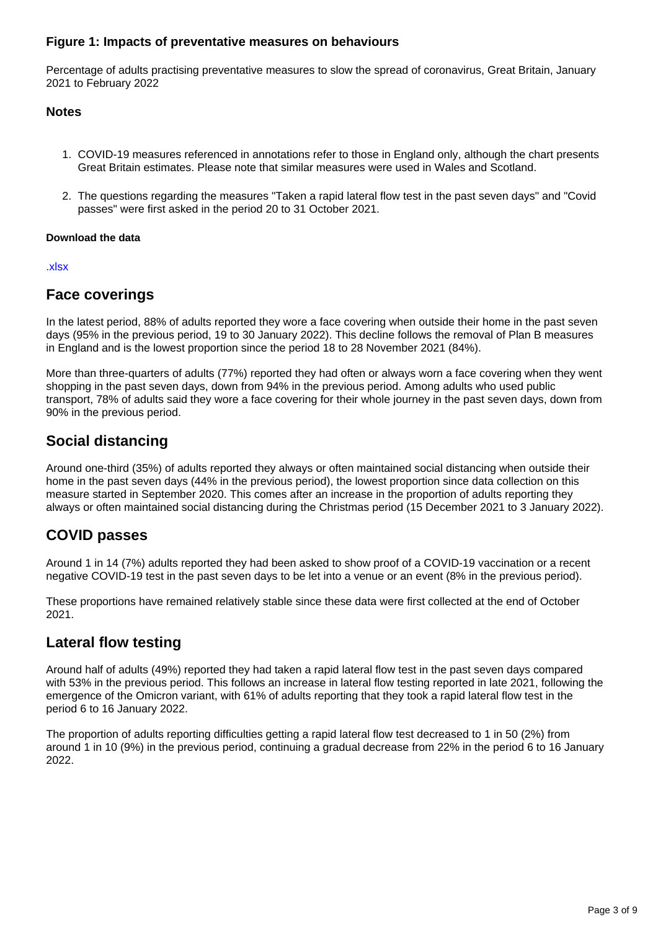#### **Figure 1: Impacts of preventative measures on behaviours**

Percentage of adults practising preventative measures to slow the spread of coronavirus, Great Britain, January 2021 to February 2022

#### **Notes**

- 1. COVID-19 measures referenced in annotations refer to those in England only, although the chart presents Great Britain estimates. Please note that similar measures were used in Wales and Scotland.
- 2. The questions regarding the measures "Taken a rapid lateral flow test in the past seven days" and "Covid passes" were first asked in the period 20 to 31 October 2021.

#### **Download the data**

#### [.xlsx](https://www.ons.gov.uk/visualisations/dvc1820/fig1/datadownload.xlsx)

### **Face coverings**

In the latest period, 88% of adults reported they wore a face covering when outside their home in the past seven days (95% in the previous period, 19 to 30 January 2022). This decline follows the removal of Plan B measures in England and is the lowest proportion since the period 18 to 28 November 2021 (84%).

More than three-quarters of adults (77%) reported they had often or always worn a face covering when they went shopping in the past seven days, down from 94% in the previous period. Among adults who used public transport, 78% of adults said they wore a face covering for their whole journey in the past seven days, down from 90% in the previous period.

### **Social distancing**

Around one-third (35%) of adults reported they always or often maintained social distancing when outside their home in the past seven days (44% in the previous period), the lowest proportion since data collection on this measure started in September 2020. This comes after an increase in the proportion of adults reporting they always or often maintained social distancing during the Christmas period (15 December 2021 to 3 January 2022).

### **COVID passes**

Around 1 in 14 (7%) adults reported they had been asked to show proof of a COVID-19 vaccination or a recent negative COVID-19 test in the past seven days to be let into a venue or an event (8% in the previous period).

These proportions have remained relatively stable since these data were first collected at the end of October 2021.

### **Lateral flow testing**

Around half of adults (49%) reported they had taken a rapid lateral flow test in the past seven days compared with 53% in the previous period. This follows an increase in lateral flow testing reported in late 2021, following the emergence of the Omicron variant, with 61% of adults reporting that they took a rapid lateral flow test in the period 6 to 16 January 2022.

The proportion of adults reporting difficulties getting a rapid lateral flow test decreased to 1 in 50 (2%) from around 1 in 10 (9%) in the previous period, continuing a gradual decrease from 22% in the period 6 to 16 January 2022.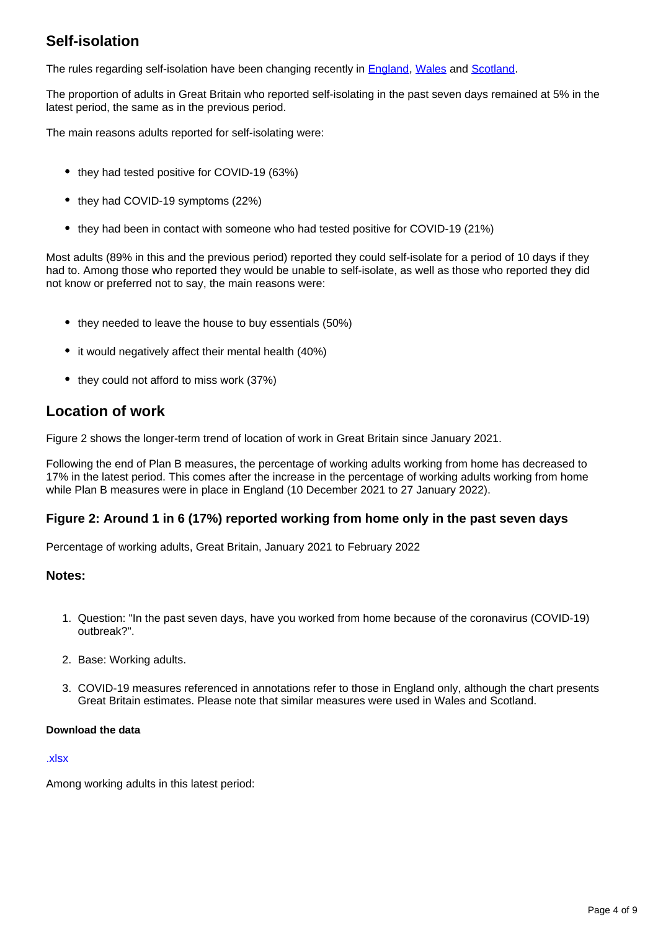### **Self-isolation**

The rules regarding self-isolation have been changing recently in [England](https://www.gov.uk/government/publications/covid-19-stay-at-home-guidance/stay-at-home-guidance-for-households-with-possible-coronavirus-covid-19-infection), [Wales](https://gov.wales/self-isolation) and [Scotland](https://www.nhsinform.scot/illnesses-and-conditions/infections-and-poisoning/coronavirus-covid-19/test-and-protect/coronavirus-covid-19-guidance-for-households-with-possible-coronavirus-infection).

The proportion of adults in Great Britain who reported self-isolating in the past seven days remained at 5% in the latest period, the same as in the previous period.

The main reasons adults reported for self-isolating were:

- they had tested positive for COVID-19 (63%)
- they had COVID-19 symptoms (22%)
- they had been in contact with someone who had tested positive for COVID-19 (21%)

Most adults (89% in this and the previous period) reported they could self-isolate for a period of 10 days if they had to. Among those who reported they would be unable to self-isolate, as well as those who reported they did not know or preferred not to say, the main reasons were:

- they needed to leave the house to buy essentials (50%)
- it would negatively affect their mental health (40%)
- they could not afford to miss work (37%)

### **Location of work**

Figure 2 shows the longer-term trend of location of work in Great Britain since January 2021.

Following the end of Plan B measures, the percentage of working adults working from home has decreased to 17% in the latest period. This comes after the increase in the percentage of working adults working from home while Plan B measures were in place in England (10 December 2021 to 27 January 2022).

#### **Figure 2: Around 1 in 6 (17%) reported working from home only in the past seven days**

Percentage of working adults, Great Britain, January 2021 to February 2022

#### **Notes:**

- 1. Question: "In the past seven days, have you worked from home because of the coronavirus (COVID-19) outbreak?".
- 2. Base: Working adults.
- 3. COVID-19 measures referenced in annotations refer to those in England only, although the chart presents Great Britain estimates. Please note that similar measures were used in Wales and Scotland.

#### **Download the data**

#### [.xlsx](https://www.ons.gov.uk/visualisations/dvc1820/fig2/datadownload.xlsx)

Among working adults in this latest period: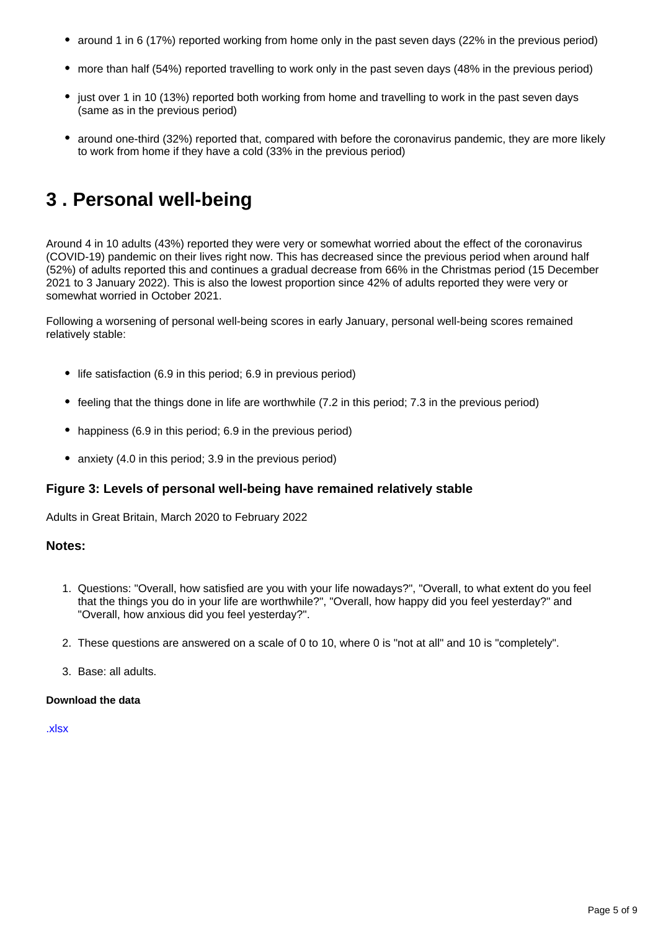- around 1 in 6 (17%) reported working from home only in the past seven days (22% in the previous period)
- more than half (54%) reported travelling to work only in the past seven days (48% in the previous period)
- just over 1 in 10 (13%) reported both working from home and travelling to work in the past seven days (same as in the previous period)
- around one-third (32%) reported that, compared with before the coronavirus pandemic, they are more likely to work from home if they have a cold (33% in the previous period)

## <span id="page-4-0"></span>**3 . Personal well-being**

Around 4 in 10 adults (43%) reported they were very or somewhat worried about the effect of the coronavirus (COVID-19) pandemic on their lives right now. This has decreased since the previous period when around half (52%) of adults reported this and continues a gradual decrease from 66% in the Christmas period (15 December 2021 to 3 January 2022). This is also the lowest proportion since 42% of adults reported they were very or somewhat worried in October 2021.

Following a worsening of personal well-being scores in early January, personal well-being scores remained relatively stable:

- life satisfaction (6.9 in this period; 6.9 in previous period)
- feeling that the things done in life are worthwhile (7.2 in this period; 7.3 in the previous period)
- happiness (6.9 in this period; 6.9 in the previous period)
- anxiety (4.0 in this period: 3.9 in the previous period)

#### **Figure 3: Levels of personal well-being have remained relatively stable**

Adults in Great Britain, March 2020 to February 2022

#### **Notes:**

- 1. Questions: "Overall, how satisfied are you with your life nowadays?", "Overall, to what extent do you feel that the things you do in your life are worthwhile?", "Overall, how happy did you feel yesterday?" and "Overall, how anxious did you feel yesterday?".
- 2. These questions are answered on a scale of 0 to 10, where 0 is "not at all" and 10 is "completely".
- 3. Base: all adults.

#### **Download the data**

[.xlsx](https://www.ons.gov.uk/visualisations/dvc1820/fig3/datadownload.xlsx)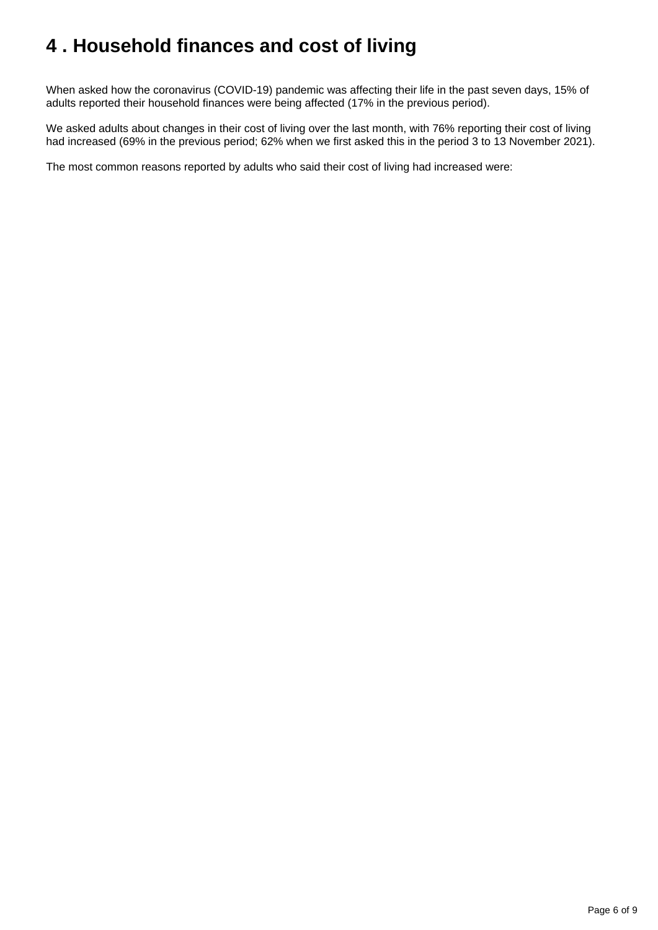## <span id="page-5-0"></span>**4 . Household finances and cost of living**

When asked how the coronavirus (COVID-19) pandemic was affecting their life in the past seven days, 15% of adults reported their household finances were being affected (17% in the previous period).

We asked adults about changes in their cost of living over the last month, with 76% reporting their cost of living had increased (69% in the previous period; 62% when we first asked this in the period 3 to 13 November 2021).

The most common reasons reported by adults who said their cost of living had increased were: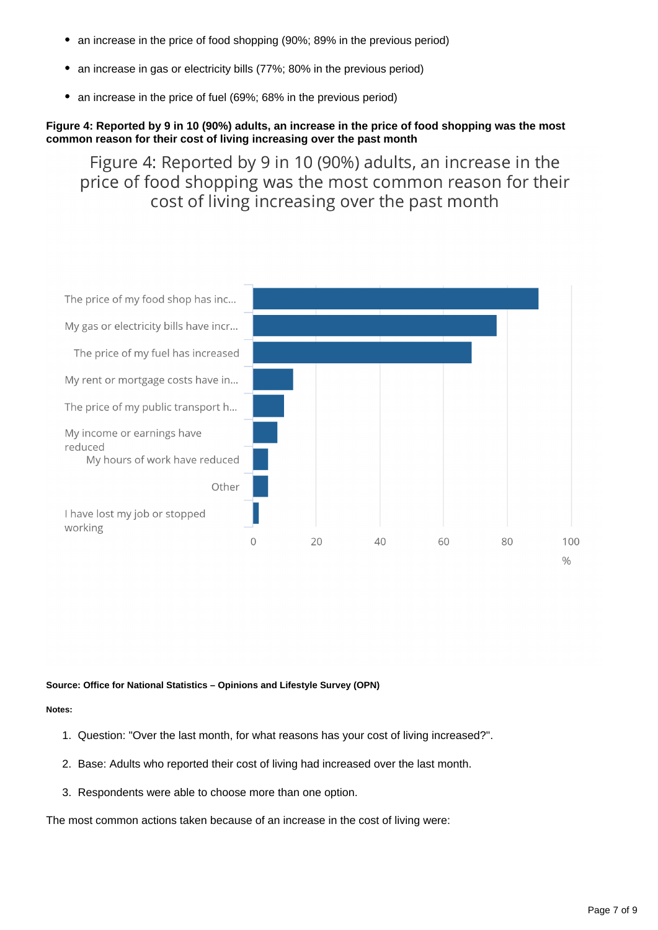- an increase in the price of food shopping (90%; 89% in the previous period)
- an increase in gas or electricity bills (77%; 80% in the previous period)
- an increase in the price of fuel (69%; 68% in the previous period)

#### **Figure 4: Reported by 9 in 10 (90%) adults, an increase in the price of food shopping was the most common reason for their cost of living increasing over the past month**

Figure 4: Reported by 9 in 10 (90%) adults, an increase in the price of food shopping was the most common reason for their cost of living increasing over the past month



#### **Source: Office for National Statistics – Opinions and Lifestyle Survey (OPN)**

#### **Notes:**

- 1. Question: "Over the last month, for what reasons has your cost of living increased?".
- 2. Base: Adults who reported their cost of living had increased over the last month.
- 3. Respondents were able to choose more than one option.

The most common actions taken because of an increase in the cost of living were: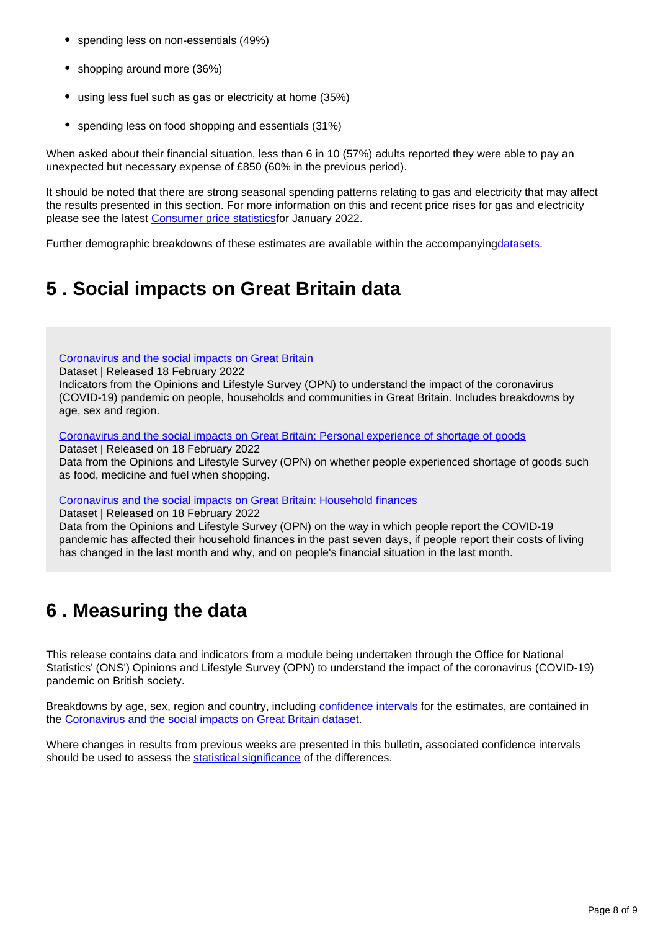- spending less on non-essentials (49%)
- shopping around more (36%)
- using less fuel such as gas or electricity at home (35%)
- spending less on food shopping and essentials (31%)

When asked about their financial situation, less than 6 in 10 (57%) adults reported they were able to pay an unexpected but necessary expense of £850 (60% in the previous period).

It should be noted that there are strong seasonal spending patterns relating to gas and electricity that may affect the results presented in this section. For more information on this and recent price rises for gas and electricity please see the latest [Consumer price statisticsf](https://www.ons.gov.uk/economy/inflationandpriceindices/bulletins/consumerpriceinflation/january2022)or January 2022.

Further demographic breakdowns of these estimates are available within the accompanyin[gdatasets](https://www.ons.gov.uk/peoplepopulationandcommunity/healthandsocialcare/healthandwellbeing/bulletins/coronavirusandthesocialimpactsongreatbritain/19november2021/relateddata).

## <span id="page-7-0"></span>**5 . Social impacts on Great Britain data**

[Coronavirus and the social impacts on Great Britain](https://www.ons.gov.uk/peoplepopulationandcommunity/healthandsocialcare/healthandwellbeing/datasets/coronavirusandthesocialimpactsongreatbritaindata)

Dataset | Released 18 February 2022

Indicators from the Opinions and Lifestyle Survey (OPN) to understand the impact of the coronavirus (COVID-19) pandemic on people, households and communities in Great Britain. Includes breakdowns by age, sex and region.

[Coronavirus and the social impacts on Great Britain: Personal experience of shortage of goods](https://www.ons.gov.uk/peoplepopulationandcommunity/healthandsocialcare/conditionsanddiseases/datasets/coronavirusandthesocialimpactsongreatbritainpersonalexperienceofshortageofgoods)

Dataset | Released on 18 February 2022

Data from the Opinions and Lifestyle Survey (OPN) on whether people experienced shortage of goods such as food, medicine and fuel when shopping.

[Coronavirus and the social impacts on Great Britain: Household finances](https://www.ons.gov.uk/peoplepopulationandcommunity/healthandsocialcare/healthandwellbeing/datasets/coronavirusandthesocialimpactsongreatbritainhouseholdfinances)

Dataset | Released on 18 February 2022

Data from the Opinions and Lifestyle Survey (OPN) on the way in which people report the COVID-19 pandemic has affected their household finances in the past seven days, if people report their costs of living has changed in the last month and why, and on people's financial situation in the last month.

### <span id="page-7-1"></span>**6 . Measuring the data**

This release contains data and indicators from a module being undertaken through the Office for National Statistics' (ONS') Opinions and Lifestyle Survey (OPN) to understand the impact of the coronavirus (COVID-19) pandemic on British society.

Breakdowns by age, sex, region and country, including [confidence intervals](https://www.ons.gov.uk/methodology/methodologytopicsandstatisticalconcepts/uncertaintyandhowwemeasureit#confidence-interval) for the estimates, are contained in the [Coronavirus and the social impacts on Great Britain dataset.](https://www.ons.gov.uk/peoplepopulationandcommunity/healthandsocialcare/healthandwellbeing/datasets/coronavirusandthesocialimpactsongreatbritaindata)

Where changes in results from previous weeks are presented in this bulletin, associated confidence intervals should be used to assess the [statistical significance](https://www.ons.gov.uk/methodology/methodologytopicsandstatisticalconcepts/uncertaintyandhowwemeasureit#statistical-significance) of the differences.